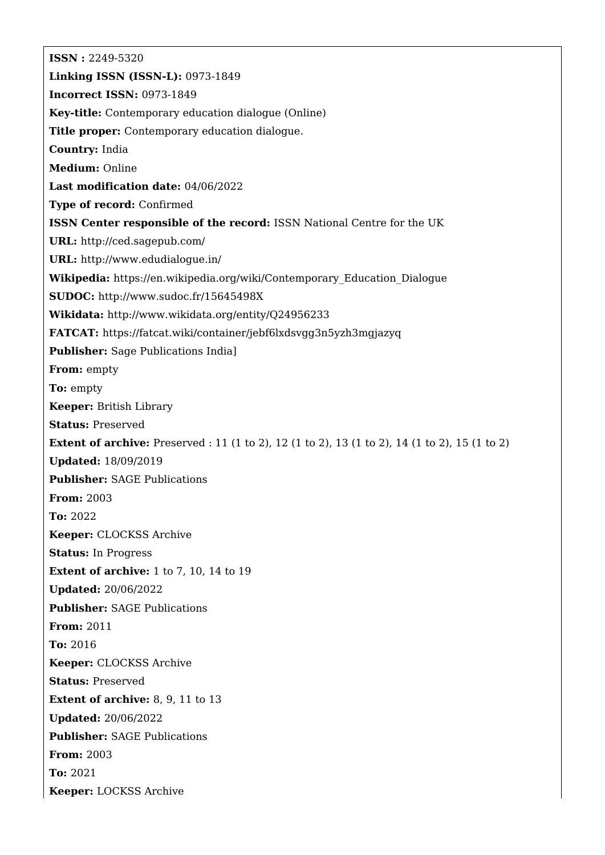**ISSN :** 2249-5320 **Linking ISSN (ISSN-L):** 0973-1849 **Incorrect ISSN:** 0973-1849 **Key-title:** Contemporary education dialogue (Online) **Title proper:** Contemporary education dialogue. **Country:** India **Medium:** Online **Last modification date:** 04/06/2022 **Type of record:** Confirmed **ISSN Center responsible of the record:** ISSN National Centre for the UK **URL:** <http://ced.sagepub.com/> **URL:** <http://www.edudialogue.in/> **Wikipedia:** [https://en.wikipedia.org/wiki/Contemporary\\_Education\\_Dialogue](https://en.wikipedia.org/wiki/Contemporary_Education_Dialogue) **SUDOC:** <http://www.sudoc.fr/15645498X> **Wikidata:** <http://www.wikidata.org/entity/Q24956233> **FATCAT:** <https://fatcat.wiki/container/jebf6lxdsvgg3n5yzh3mgjazyq> **Publisher:** Sage Publications India] **From:** empty **To:** empty **Keeper:** British Library **Status:** Preserved **Extent of archive:** Preserved : 11 (1 to 2), 12 (1 to 2), 13 (1 to 2), 14 (1 to 2), 15 (1 to 2) **Updated:** 18/09/2019 **Publisher:** SAGE Publications **From:** 2003 **To:** 2022 **Keeper:** CLOCKSS Archive **Status:** In Progress **Extent of archive:** 1 to 7, 10, 14 to 19 **Updated:** 20/06/2022 **Publisher:** SAGE Publications **From:** 2011 **To:** 2016 **Keeper:** CLOCKSS Archive **Status:** Preserved **Extent of archive:** 8, 9, 11 to 13 **Updated:** 20/06/2022 **Publisher:** SAGE Publications **From:** 2003 **To:** 2021 **Keeper:** LOCKSS Archive